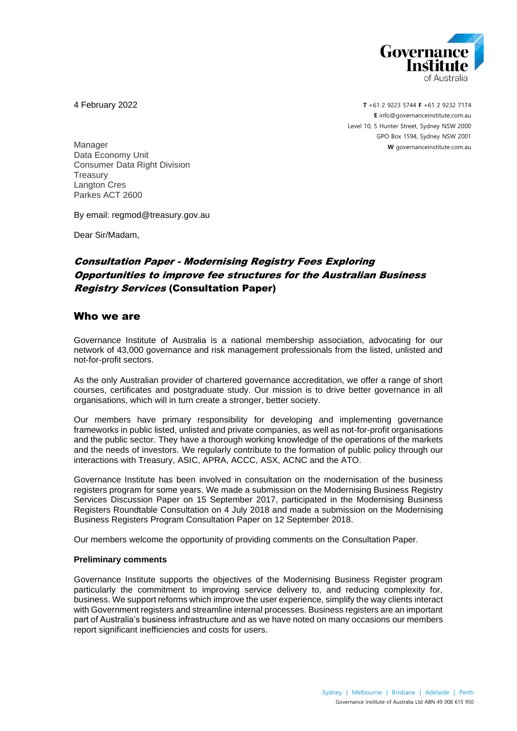

4 February 2022

**T** +61 2 9223 5744 **F** +61 2 9232 7174 **E** [info@governanceinstitute.com.au](mailto:info@governanceinstitute.com.au) Level 10, 5 Hunter Street, Sydney NSW 2000 GPO Box 1594, Sydney NSW 2001 **W** governanceinstitute.com.au

Manager Data Economy Unit Consumer Data Right Division **Treasurv** Langton Cres Parkes ACT 2600

By email: regmod@treasury.gov.au

Dear Sir/Madam,

# Consultation Paper - Modernising Registry Fees Exploring Opportunities to improve fee structures for the Australian Business Registry Services (Consultation Paper)

### Who we are

Governance Institute of Australia is a national membership association, advocating for our network of 43,000 governance and risk management professionals from the listed, unlisted and not-for-profit sectors.

As the only Australian provider of chartered governance accreditation, we offer a range of short courses, certificates and postgraduate study. Our mission is to drive better governance in all organisations, which will in turn create a stronger, better society.

Our members have primary responsibility for developing and implementing governance frameworks in public listed, unlisted and private companies, as well as not-for-profit organisations and the public sector. They have a thorough working knowledge of the operations of the markets and the needs of investors. We regularly contribute to the formation of public policy through our interactions with Treasury, ASIC, APRA, ACCC, ASX, ACNC and the ATO.

Governance Institute has been involved in consultation on the modernisation of the business registers program for some years. We made a submission on the Modernising Business Registry Services Discussion Paper on 15 September 2017, participated in the Modernising Business Registers Roundtable Consultation on 4 July 2018 and made a submission on the Modernising Business Registers Program Consultation Paper on 12 September 2018.

Our members welcome the opportunity of providing comments on the Consultation Paper.

#### **Preliminary comments**

Governance Institute supports the objectives of the Modernising Business Register program particularly the commitment to improving service delivery to, and reducing complexity for, business. We support reforms which improve the user experience, simplify the way clients interact with Government registers and streamline internal processes. Business registers are an important part of Australia's business infrastructure and as we have noted on many occasions our members report significant inefficiencies and costs for users.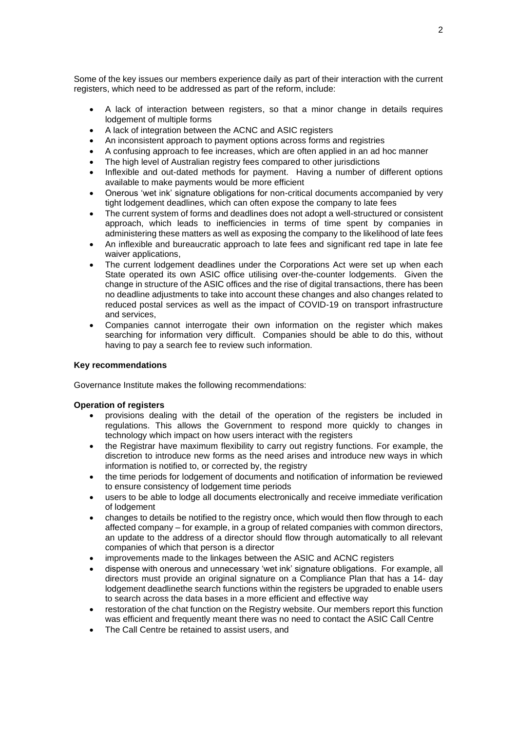Some of the key issues our members experience daily as part of their interaction with the current registers, which need to be addressed as part of the reform, include:

- A lack of interaction between registers, so that a minor change in details requires lodgement of multiple forms
- A lack of integration between the ACNC and ASIC registers
- An inconsistent approach to payment options across forms and registries
- A confusing approach to fee increases, which are often applied in an ad hoc manner
- The high level of Australian registry fees compared to other jurisdictions
- Inflexible and out-dated methods for payment. Having a number of different options available to make payments would be more efficient
- Onerous 'wet ink' signature obligations for non-critical documents accompanied by very tight lodgement deadlines, which can often expose the company to late fees
- The current system of forms and deadlines does not adopt a well-structured or consistent approach, which leads to inefficiencies in terms of time spent by companies in administering these matters as well as exposing the company to the likelihood of late fees
- An inflexible and bureaucratic approach to late fees and significant red tape in late fee waiver applications.
- The current lodgement deadlines under the Corporations Act were set up when each State operated its own ASIC office utilising over-the-counter lodgements. Given the change in structure of the ASIC offices and the rise of digital transactions, there has been no deadline adjustments to take into account these changes and also changes related to reduced postal services as well as the impact of COVID-19 on transport infrastructure and services,
- Companies cannot interrogate their own information on the register which makes searching for information very difficult. Companies should be able to do this, without having to pay a search fee to review such information.

#### **Key recommendations**

Governance Institute makes the following recommendations:

#### **Operation of registers**

- provisions dealing with the detail of the operation of the registers be included in regulations. This allows the Government to respond more quickly to changes in technology which impact on how users interact with the registers
- the Registrar have maximum flexibility to carry out registry functions. For example, the discretion to introduce new forms as the need arises and introduce new ways in which information is notified to, or corrected by, the registry
- the time periods for lodgement of documents and notification of information be reviewed to ensure consistency of lodgement time periods
- users to be able to lodge all documents electronically and receive immediate verification of lodgement
- changes to details be notified to the registry once, which would then flow through to each affected company – for example, in a group of related companies with common directors, an update to the address of a director should flow through automatically to all relevant companies of which that person is a director
- improvements made to the linkages between the ASIC and ACNC registers
- dispense with onerous and unnecessary 'wet ink' signature obligations. For example, all directors must provide an original signature on a Compliance Plan that has a 14- day lodgement deadlinethe search functions within the registers be upgraded to enable users to search across the data bases in a more efficient and effective way
- restoration of the chat function on the Registry website. Our members report this function was efficient and frequently meant there was no need to contact the ASIC Call Centre
- The Call Centre be retained to assist users, and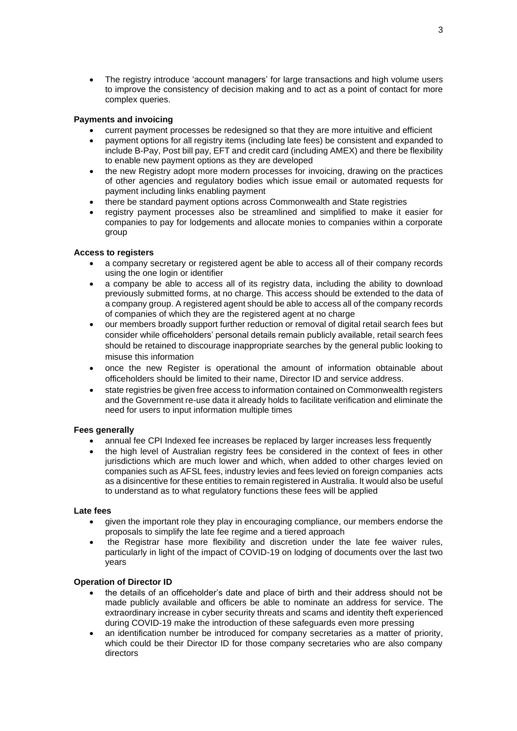• The registry introduce 'account managers' for large transactions and high volume users to improve the consistency of decision making and to act as a point of contact for more complex queries.

### **Payments and invoicing**

- current payment processes be redesigned so that they are more intuitive and efficient
- payment options for all registry items (including late fees) be consistent and expanded to include B-Pay, Post bill pay, EFT and credit card (including AMEX) and there be flexibility to enable new payment options as they are developed
- the new Registry adopt more modern processes for invoicing, drawing on the practices of other agencies and regulatory bodies which issue email or automated requests for payment including links enabling payment
- there be standard payment options across Commonwealth and State registries
- registry payment processes also be streamlined and simplified to make it easier for companies to pay for lodgements and allocate monies to companies within a corporate group

### **Access to registers**

- a company secretary or registered agent be able to access all of their company records using the one login or identifier
- a company be able to access all of its registry data, including the ability to download previously submitted forms, at no charge. This access should be extended to the data of a company group. A registered agent should be able to access all of the company records of companies of which they are the registered agent at no charge
- our members broadly support further reduction or removal of digital retail search fees but consider while officeholders' personal details remain publicly available, retail search fees should be retained to discourage inappropriate searches by the general public looking to misuse this information
- once the new Register is operational the amount of information obtainable about officeholders should be limited to their name, Director ID and service address.
- state registries be given free access to information contained on Commonwealth registers and the Government re-use data it already holds to facilitate verification and eliminate the need for users to input information multiple times

### **Fees generally**

- annual fee CPI Indexed fee increases be replaced by larger increases less frequently
- the high level of Australian registry fees be considered in the context of fees in other jurisdictions which are much lower and which, when added to other charges levied on companies such as AFSL fees, industry levies and fees levied on foreign companies acts as a disincentive for these entities to remain registered in Australia. It would also be useful to understand as to what regulatory functions these fees will be applied

### **Late fees**

- given the important role they play in encouraging compliance, our members endorse the proposals to simplify the late fee regime and a tiered approach
- the Registrar hase more flexibility and discretion under the late fee waiver rules, particularly in light of the impact of COVID-19 on lodging of documents over the last two years

### **Operation of Director ID**

- the details of an officeholder's date and place of birth and their address should not be made publicly available and officers be able to nominate an address for service. The extraordinary increase in cyber security threats and scams and identity theft experienced during COVID-19 make the introduction of these safeguards even more pressing
- an identification number be introduced for company secretaries as a matter of priority, which could be their Director ID for those company secretaries who are also company directors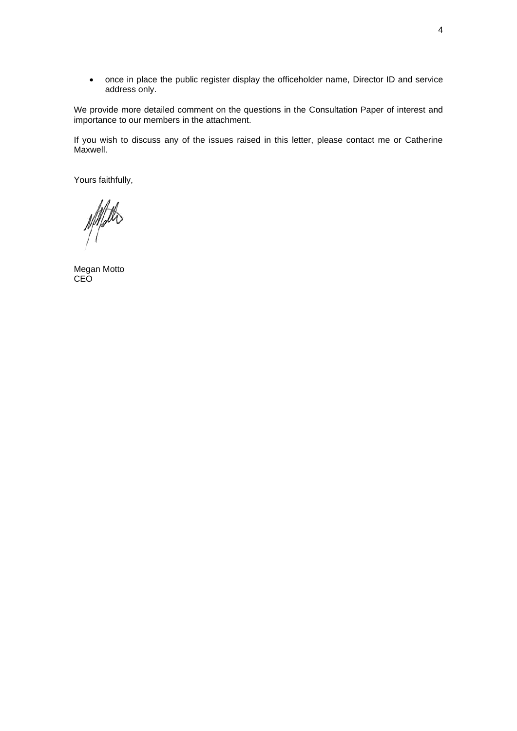• once in place the public register display the officeholder name, Director ID and service address only.

We provide more detailed comment on the questions in the Consultation Paper of interest and importance to our members in the attachment.

If you wish to discuss any of the issues raised in this letter, please contact me or Catherine Maxwell.

Yours faithfully,

NAFOS

Megan Motto CEO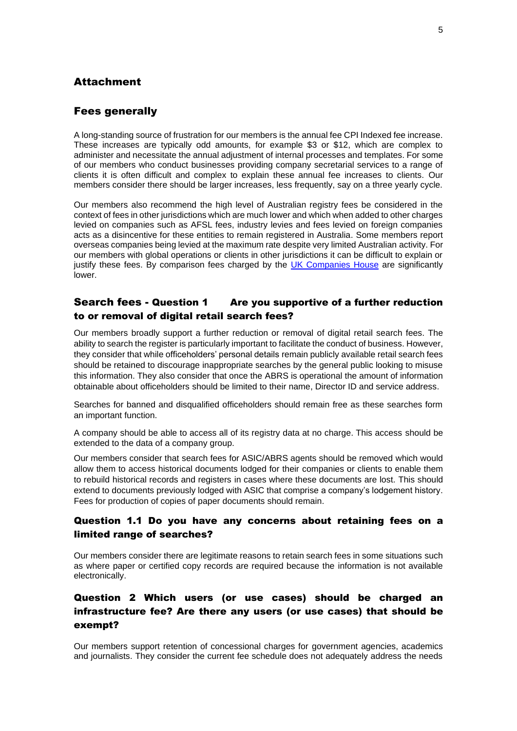## Attachment

### Fees generally

A long-standing source of frustration for our members is the annual fee CPI Indexed fee increase. These increases are typically odd amounts, for example \$3 or \$12, which are complex to administer and necessitate the annual adjustment of internal processes and templates. For some of our members who conduct businesses providing company secretarial services to a range of clients it is often difficult and complex to explain these annual fee increases to clients. Our members consider there should be larger increases, less frequently, say on a three yearly cycle.

Our members also recommend the high level of Australian registry fees be considered in the context of fees in other jurisdictions which are much lower and which when added to other charges levied on companies such as AFSL fees, industry levies and fees levied on foreign companies acts as a disincentive for these entities to remain registered in Australia. Some members report overseas companies being levied at the maximum rate despite very limited Australian activity. For our members with global operations or clients in other jurisdictions it can be difficult to explain or justify these fees. By comparison fees charged by the [UK Companies House](https://www.gov.uk/government/publications/companies-house-fees/companies-house-fees) are significantly lower.

## Search fees - Question 1 Are you supportive of a further reduction to or removal of digital retail search fees?

Our members broadly support a further reduction or removal of digital retail search fees. The ability to search the register is particularly important to facilitate the conduct of business. However, they consider that while officeholders' personal details remain publicly available retail search fees should be retained to discourage inappropriate searches by the general public looking to misuse this information. They also consider that once the ABRS is operational the amount of information obtainable about officeholders should be limited to their name, Director ID and service address.

Searches for banned and disqualified officeholders should remain free as these searches form an important function.

A company should be able to access all of its registry data at no charge. This access should be extended to the data of a company group.

Our members consider that search fees for ASIC/ABRS agents should be removed which would allow them to access historical documents lodged for their companies or clients to enable them to rebuild historical records and registers in cases where these documents are lost. This should extend to documents previously lodged with ASIC that comprise a company's lodgement history. Fees for production of copies of paper documents should remain.

### Question 1.1 Do you have any concerns about retaining fees on a limited range of searches?

Our members consider there are legitimate reasons to retain search fees in some situations such as where paper or certified copy records are required because the information is not available electronically.

## Question 2 Which users (or use cases) should be charged an infrastructure fee? Are there any users (or use cases) that should be exempt?

Our members support retention of concessional charges for government agencies, academics and journalists. They consider the current fee schedule does not adequately address the needs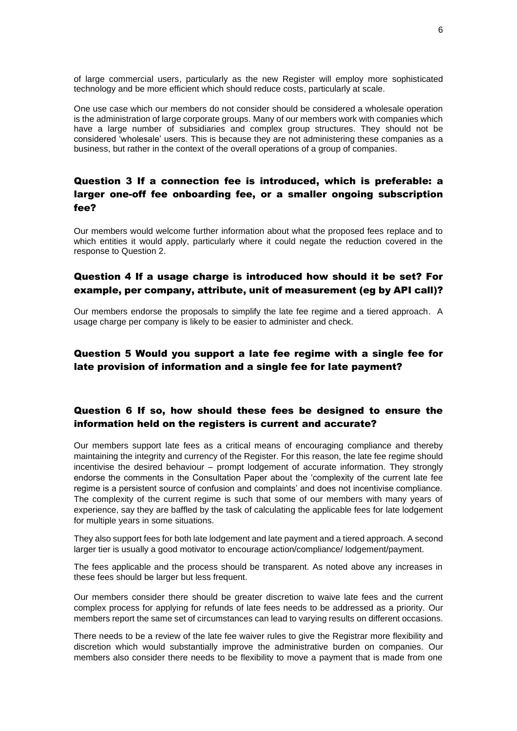of large commercial users, particularly as the new Register will employ more sophisticated technology and be more efficient which should reduce costs, particularly at scale.

One use case which our members do not consider should be considered a wholesale operation is the administration of large corporate groups. Many of our members work with companies which have a large number of subsidiaries and complex group structures. They should not be considered 'wholesale' users. This is because they are not administering these companies as a business, but rather in the context of the overall operations of a group of companies.

# Question 3 If a connection fee is introduced, which is preferable: a larger one-off fee onboarding fee, or a smaller ongoing subscription fee?

Our members would welcome further information about what the proposed fees replace and to which entities it would apply, particularly where it could negate the reduction covered in the response to Question 2.

## Question 4 If a usage charge is introduced how should it be set? For example, per company, attribute, unit of measurement (eg by API call)?

Our members endorse the proposals to simplify the late fee regime and a tiered approach. A usage charge per company is likely to be easier to administer and check.

## Question 5 Would you support a late fee regime with a single fee for late provision of information and a single fee for late payment?

## Question 6 If so, how should these fees be designed to ensure the information held on the registers is current and accurate?

Our members support late fees as a critical means of encouraging compliance and thereby maintaining the integrity and currency of the Register. For this reason, the late fee regime should incentivise the desired behaviour – prompt lodgement of accurate information. They strongly endorse the comments in the Consultation Paper about the 'complexity of the current late fee regime is a persistent source of confusion and complaints' and does not incentivise compliance. The complexity of the current regime is such that some of our members with many years of experience, say they are baffled by the task of calculating the applicable fees for late lodgement for multiple years in some situations.

They also support fees for both late lodgement and late payment and a tiered approach. A second larger tier is usually a good motivator to encourage action/compliance/ lodgement/payment.

The fees applicable and the process should be transparent. As noted above any increases in these fees should be larger but less frequent.

Our members consider there should be greater discretion to waive late fees and the current complex process for applying for refunds of late fees needs to be addressed as a priority. Our members report the same set of circumstances can lead to varying results on different occasions.

There needs to be a review of the late fee waiver rules to give the Registrar more flexibility and discretion which would substantially improve the administrative burden on companies. Our members also consider there needs to be flexibility to move a payment that is made from one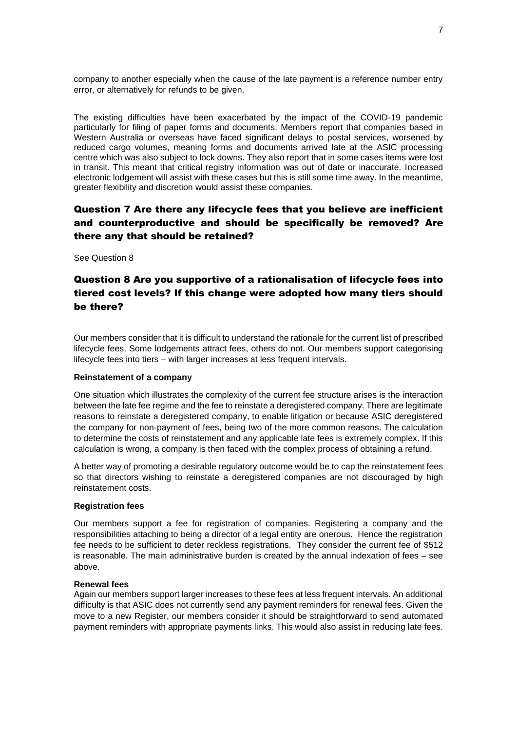company to another especially when the cause of the late payment is a reference number entry error, or alternatively for refunds to be given.

The existing difficulties have been exacerbated by the impact of the COVID-19 pandemic particularly for filing of paper forms and documents. Members report that companies based in Western Australia or overseas have faced significant delays to postal services, worsened by reduced cargo volumes, meaning forms and documents arrived late at the ASIC processing centre which was also subject to lock downs. They also report that in some cases items were lost in transit. This meant that critical registry information was out of date or inaccurate. Increased electronic lodgement will assist with these cases but this is still some time away. In the meantime, greater flexibility and discretion would assist these companies.

# Question 7 Are there any lifecycle fees that you believe are inefficient and counterproductive and should be specifically be removed? Are there any that should be retained?

See Question 8

# Question 8 Are you supportive of a rationalisation of lifecycle fees into tiered cost levels? If this change were adopted how many tiers should be there?

Our members consider that it is difficult to understand the rationale for the current list of prescribed lifecycle fees. Some lodgements attract fees, others do not. Our members support categorising lifecycle fees into tiers – with larger increases at less frequent intervals.

#### **Reinstatement of a company**

One situation which illustrates the complexity of the current fee structure arises is the interaction between the late fee regime and the fee to reinstate a deregistered company. There are legitimate reasons to reinstate a deregistered company, to enable litigation or because ASIC deregistered the company for non-payment of fees, being two of the more common reasons. The calculation to determine the costs of reinstatement and any applicable late fees is extremely complex. If this calculation is wrong, a company is then faced with the complex process of obtaining a refund.

A better way of promoting a desirable regulatory outcome would be to cap the reinstatement fees so that directors wishing to reinstate a deregistered companies are not discouraged by high reinstatement costs.

### **Registration fees**

Our members support a fee for registration of companies. Registering a company and the responsibilities attaching to being a director of a legal entity are onerous. Hence the registration fee needs to be sufficient to deter reckless registrations. They consider the current fee of \$512 is reasonable. The main administrative burden is created by the annual indexation of fees – see above.

#### **Renewal fees**

Again our members support larger increases to these fees at less frequent intervals. An additional difficulty is that ASIC does not currently send any payment reminders for renewal fees. Given the move to a new Register, our members consider it should be straightforward to send automated payment reminders with appropriate payments links. This would also assist in reducing late fees.